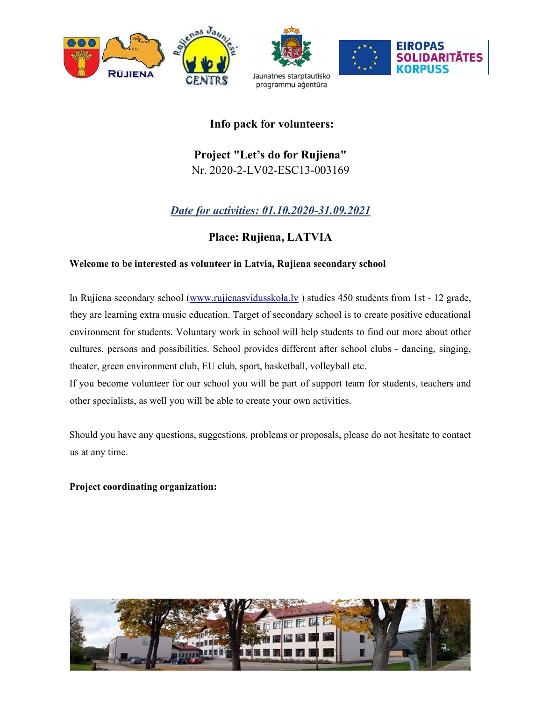

# Info pack for volunteers:

# Project "Let's do for Rujiena" Nr. 2020-2-LV02-ESC13-003169

# Date for activities: 01.10.2020-31.09.2021

# Place: Rujiena, LATVIA

# Welcome to be interested as volunteer in Latvia, Rujiena secondary school

 In Rujiena secondary school (www.rujienasvidusskola.lv ) studies 450 students from 1st - 12 grade, they are learning extra music education. Target of secondary school is to create positive educational environment for students. Voluntary work in school will help students to find out more about other cultures, persons and possibilities. School provides different after school clubs - dancing, singing, theater, green environment club, EU club, sport, basketball, volleyball etc.

If you become volunteer for our school you will be part of support team for students, teachers and other specialists, as well you will be able to create your own activities.

 Should you have any questions, suggestions, problems or proposals, please do not hesitate to contact us at any time.

## Project coordinating organization:

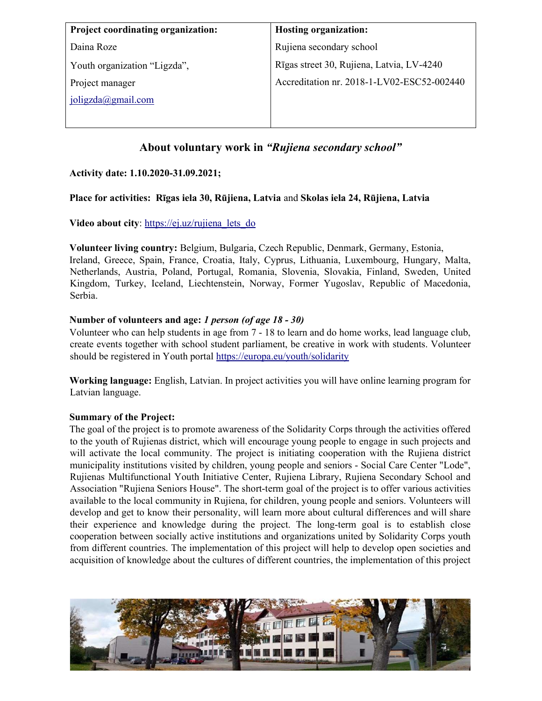| <b>Project coordinating organization:</b> | <b>Hosting organization:</b>               |
|-------------------------------------------|--------------------------------------------|
| Daina Roze                                | Rujiena secondary school                   |
| Youth organization "Ligzda",              | Rīgas street 30, Rujiena, Latvia, LV-4240  |
| Project manager                           | Accreditation nr. 2018-1-LV02-ESC52-002440 |
| $joliqzda$ ( $a$ gmail.com                |                                            |
|                                           |                                            |

# About voluntary work in "Rujiena secondary school"

## Activity date: 1.10.2020-31.09.2021;

#### Place for activities: Rīgas iela 30, Rūjiena, Latvia and Skolas iela 24, Rūjiena, Latvia

#### Video about city: https://ej.uz/rujiena lets do

Volunteer living country: Belgium, Bulgaria, Czech Republic, Denmark, Germany, Estonia, Ireland, Greece, Spain, France, Croatia, Italy, Cyprus, Lithuania, Luxembourg, Hungary, Malta, Netherlands, Austria, Poland, Portugal, Romania, Slovenia, Slovakia, Finland, Sweden, United Kingdom, Turkey, Iceland, Liechtenstein, Norway, Former Yugoslav, Republic of Macedonia, Serbia.

#### Number of volunteers and age: 1 person (of age 18 - 30)

Volunteer who can help students in age from 7 - 18 to learn and do home works, lead language club, create events together with school student parliament, be creative in work with students. Volunteer should be registered in Youth portal https://europa.eu/youth/solidarity

Working language: English, Latvian. In project activities you will have online learning program for Latvian language.

#### Summary of the Project:

The goal of the project is to promote awareness of the Solidarity Corps through the activities offered to the youth of Rujienas district, which will encourage young people to engage in such projects and will activate the local community. The project is initiating cooperation with the Rujiena district municipality institutions visited by children, young people and seniors - Social Care Center "Lode", Rujienas Multifunctional Youth Initiative Center, Rujiena Library, Rujiena Secondary School and Association "Rujiena Seniors House". The short-term goal of the project is to offer various activities available to the local community in Rujiena, for children, young people and seniors. Volunteers will develop and get to know their personality, will learn more about cultural differences and will share their experience and knowledge during the project. The long-term goal is to establish close cooperation between socially active institutions and organizations united by Solidarity Corps youth from different countries. The implementation of this project will help to develop open societies and acquisition of knowledge about the cultures of different countries, the implementation of this project

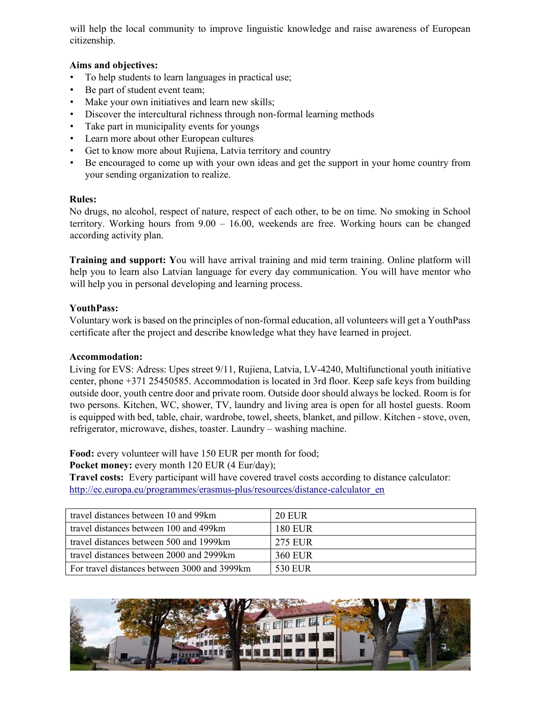will help the local community to improve linguistic knowledge and raise awareness of European citizenship.

## Aims and objectives:

- To help students to learn languages in practical use;
- Be part of student event team;
- Make your own initiatives and learn new skills;
- Discover the intercultural richness through non-formal learning methods
- Take part in municipality events for youngs
- Learn more about other European cultures
- Get to know more about Rujiena, Latvia territory and country
- Be encouraged to come up with your own ideas and get the support in your home country from your sending organization to realize.

## Rules:

No drugs, no alcohol, respect of nature, respect of each other, to be on time. No smoking in School territory. Working hours from 9.00 – 16.00, weekends are free. Working hours can be changed according activity plan.

Training and support: You will have arrival training and mid term training. Online platform will help you to learn also Latvian language for every day communication. You will have mentor who will help you in personal developing and learning process.

# YouthPass:

Voluntary work is based on the principles of non-formal education, all volunteers will get a YouthPass certificate after the project and describe knowledge what they have learned in project.

## Accommodation:

Living for EVS: Adress: Upes street 9/11, Rujiena, Latvia, LV-4240, Multifunctional youth initiative center, phone +371 25450585. Accommodation is located in 3rd floor. Keep safe keys from building outside door, youth centre door and private room. Outside door should always be locked. Room is for two persons. Kitchen, WC, shower, TV, laundry and living area is open for all hostel guests. Room is equipped with bed, table, chair, wardrobe, towel, sheets, blanket, and pillow. Kitchen - stove, oven, refrigerator, microwave, dishes, toaster. Laundry – washing machine.

Food: every volunteer will have 150 EUR per month for food;

Pocket money: every month 120 EUR (4 Eur/day);

Travel costs: Every participant will have covered travel costs according to distance calculator: http://ec.europa.eu/programmes/erasmus-plus/resources/distance-calculator\_en

| travel distances between 10 and 99km          | 20 EUR  |
|-----------------------------------------------|---------|
| travel distances between 100 and 499km        | 180 EUR |
| travel distances between 500 and 1999km       | 275 EUR |
| travel distances between 2000 and 2999km      | 360 EUR |
| For travel distances between 3000 and 3999 km | 530 EUR |